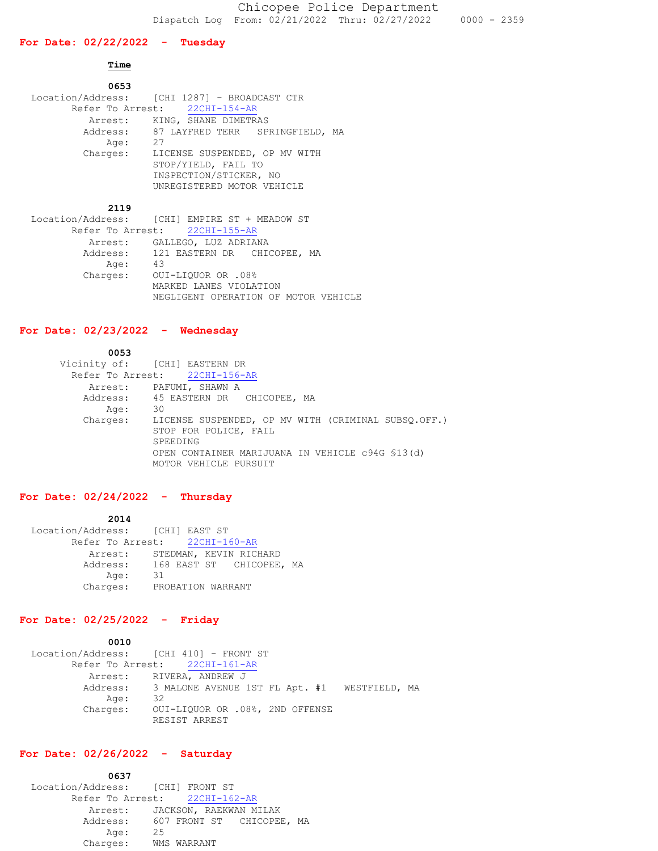# **For Date: 02/22/2022 - Tuesday**

### **Time**

| 0653     |                                                                                                              |
|----------|--------------------------------------------------------------------------------------------------------------|
|          | Location/Address: [CHI 1287] - BROADCAST CTR                                                                 |
|          | Refer To Arrest: 22CHI-154-AR                                                                                |
|          | Arrest: KING, SHANE DIMETRAS                                                                                 |
|          | Address: 87 LAYFRED TERR SPRINGFIELD,<br>MA                                                                  |
| Age:     | 27                                                                                                           |
| Charges: | LICENSE SUSPENDED, OP MV WITH<br>STOP/YIELD, FAIL TO<br>INSPECTION/STICKER, NO<br>UNREGISTERED MOTOR VEHICLE |
|          |                                                                                                              |

### **2119**

|      | Location/Address: [CHI] EMPIRE ST + MEADOW ST |
|------|-----------------------------------------------|
|      | Refer To Arrest: 22CHI-155-AR                 |
|      | Arrest: GALLEGO, LUZ ADRIANA                  |
|      | Address: 121 EASTERN DR CHICOPEE, MA          |
| Age: | 43                                            |
|      | Charges: OUI-LIQUOR OR .08%                   |
|      | MARKED LANES VIOLATION                        |
|      | NEGLIGENT OPERATION OF MOTOR VEHICLE          |

# **For Date: 02/23/2022 - Wednesday**

| 0053     |                                                     |
|----------|-----------------------------------------------------|
|          | Vicinity of: [CHI] EASTERN DR                       |
|          | Refer To Arrest: 22CHI-156-AR                       |
|          | Arrest: PAFUMI, SHAWN A                             |
|          | Address: 45 EASTERN DR CHICOPEE, MA                 |
| Age:     | 30                                                  |
| Charges: | LICENSE SUSPENDED, OP MV WITH (CRIMINAL SUBSO.OFF.) |
|          | STOP FOR POLICE, FAIL                               |
|          | SPEEDING                                            |
|          | OPEN CONTAINER MARIJUANA IN VEHICLE c94G \$13(d)    |
|          | MOTOR VEHICLE PURSUIT                               |

# **For Date: 02/24/2022 - Thursday**

#### **2014**

| Location/Address: [CHI] EAST ST |                               |                   |  |  |                          |  |
|---------------------------------|-------------------------------|-------------------|--|--|--------------------------|--|
|                                 | Refer To Arrest: 22CHI-160-AR |                   |  |  |                          |  |
|                                 | Arrest:                       |                   |  |  | STEDMAN, KEVIN RICHARD   |  |
|                                 | Address:                      |                   |  |  | 168 EAST ST CHICOPEE, MA |  |
|                                 | Age:                          | -31               |  |  |                          |  |
|                                 | Charges:                      | PROBATION WARRANT |  |  |                          |  |

# **For Date: 02/25/2022 - Friday**

 **0010** Location/Address: [CHI 410] - FRONT ST Refer To Arrest: 22CHI-161-AR Arrest: RIVERA, ANDREW J Address: 3 MALONE AVENUE 1ST FL Apt. #1 WESTFIELD, MA Age: 32 Charges: OUI-LIQUOR OR .08%, 2ND OFFENSE RESIST ARREST

# **For Date: 02/26/2022 - Saturday**

| 0637                               |    |             |  |  |
|------------------------------------|----|-------------|--|--|
| Location/Address: [CHI] FRONT ST   |    |             |  |  |
| Refer To Arrest: 22CHI-162-AR      |    |             |  |  |
| Arrest: JACKSON, RAEKWAN MILAK     |    |             |  |  |
| Address: 607 FRONT ST CHICOPEE, MA |    |             |  |  |
| Age:                               | 25 |             |  |  |
| Charges:                           |    | WMS WARRANT |  |  |